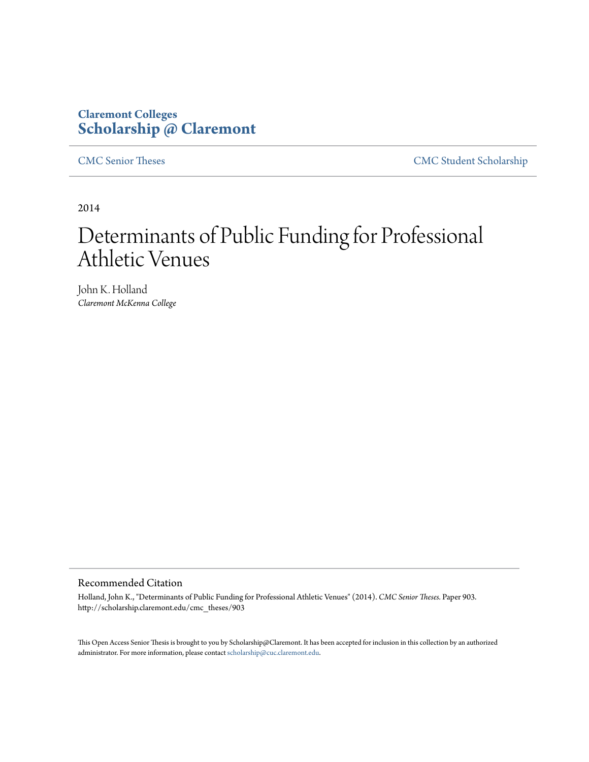# **Claremont Colleges [Scholarship @ Claremont](http://scholarship.claremont.edu)**

[CMC Senior Theses](http://scholarship.claremont.edu/cmc_theses) [CMC Student Scholarship](http://scholarship.claremont.edu/cmc_student)

2014

# Determinants of Public Funding for Professional Athletic Venues

John K. Holland *Claremont McKenna College*

#### Recommended Citation

Holland, John K., "Determinants of Public Funding for Professional Athletic Venues" (2014). *CMC Senior Theses.* Paper 903. http://scholarship.claremont.edu/cmc\_theses/903

This Open Access Senior Thesis is brought to you by Scholarship@Claremont. It has been accepted for inclusion in this collection by an authorized administrator. For more information, please contact [scholarship@cuc.claremont.edu.](mailto:scholarship@cuc.claremont.edu)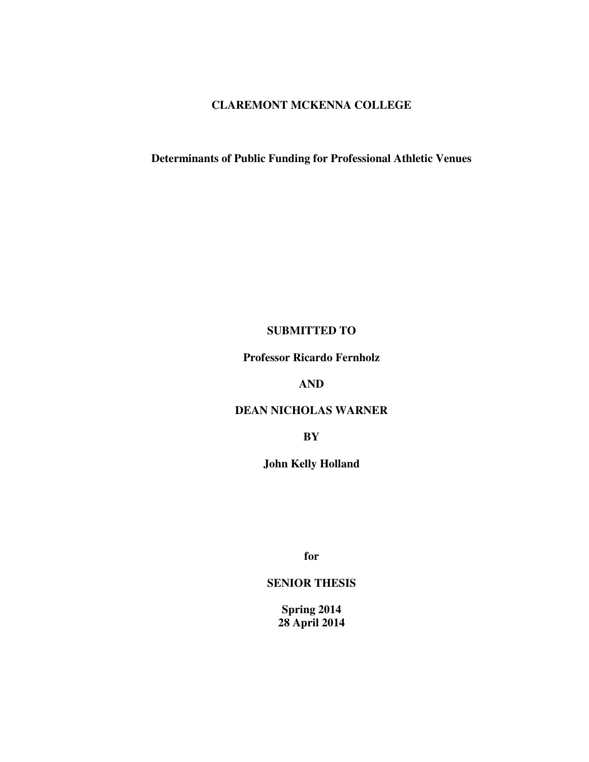# **CLAREMONT MCKENNA COLLEGE**

# **Determinants of Public Funding for Professional Athletic Venues**

# **SUBMITTED TO**

**Professor Ricardo Fernholz** 

**AND** 

# **DEAN NICHOLAS WARNER**

**BY** 

**John Kelly Holland** 

**for** 

# **SENIOR THESIS**

**Spring 2014 28 April 2014**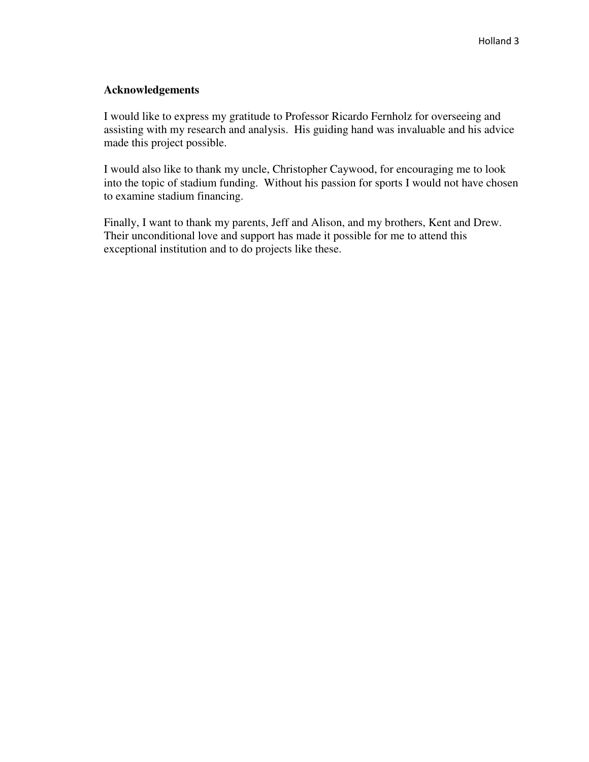# **Acknowledgements**

I would like to express my gratitude to Professor Ricardo Fernholz for overseeing and assisting with my research and analysis. His guiding hand was invaluable and his advice made this project possible.

I would also like to thank my uncle, Christopher Caywood, for encouraging me to look into the topic of stadium funding. Without his passion for sports I would not have chosen to examine stadium financing.

Finally, I want to thank my parents, Jeff and Alison, and my brothers, Kent and Drew. Their unconditional love and support has made it possible for me to attend this exceptional institution and to do projects like these.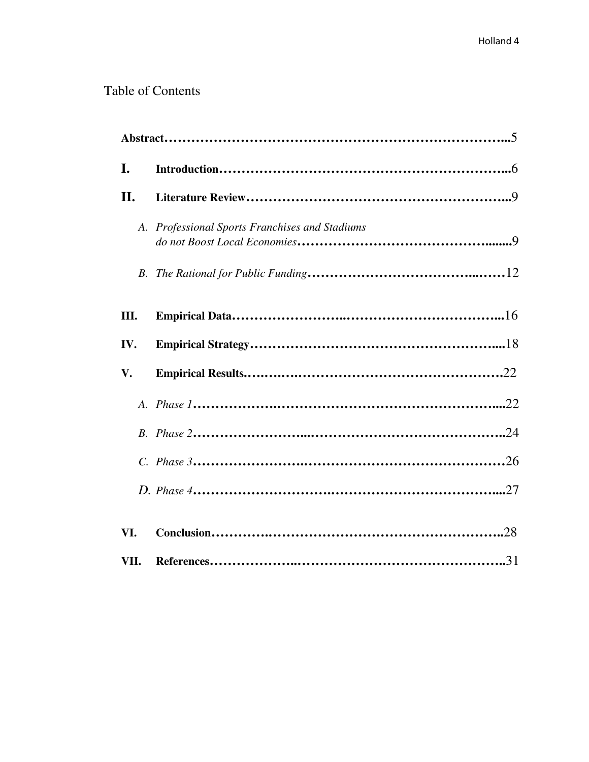# Table of Contents

| I.         |                                                |  |  |  |  |  |  |
|------------|------------------------------------------------|--|--|--|--|--|--|
| II.        |                                                |  |  |  |  |  |  |
|            | A. Professional Sports Franchises and Stadiums |  |  |  |  |  |  |
| <i>B</i> . |                                                |  |  |  |  |  |  |
| Ш.         |                                                |  |  |  |  |  |  |
| IV.        |                                                |  |  |  |  |  |  |
| V.         |                                                |  |  |  |  |  |  |
|            |                                                |  |  |  |  |  |  |
|            |                                                |  |  |  |  |  |  |
|            |                                                |  |  |  |  |  |  |
|            |                                                |  |  |  |  |  |  |
|            |                                                |  |  |  |  |  |  |
| VI.        |                                                |  |  |  |  |  |  |
| VII.       |                                                |  |  |  |  |  |  |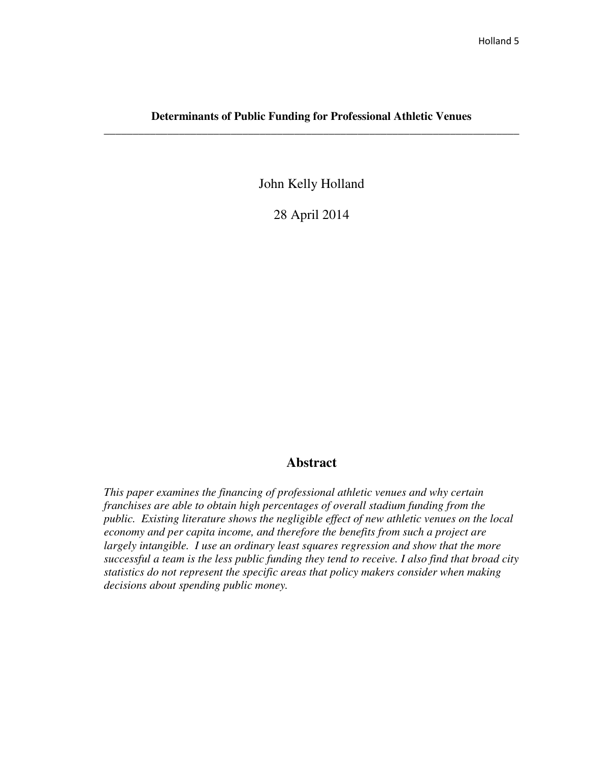# **Determinants of Public Funding for Professional Athletic Venues \_\_\_\_\_\_\_\_\_\_\_\_\_\_\_\_\_\_\_\_\_\_\_\_\_\_\_\_\_\_\_\_\_\_\_\_\_\_\_\_\_\_\_\_\_\_\_\_\_\_\_\_\_\_\_\_\_\_\_\_\_\_\_\_\_\_\_\_\_\_\_\_**

John Kelly Holland

28 April 2014

# **Abstract**

*This paper examines the financing of professional athletic venues and why certain franchises are able to obtain high percentages of overall stadium funding from the public. Existing literature shows the negligible effect of new athletic venues on the local economy and per capita income, and therefore the benefits from such a project are largely intangible. I use an ordinary least squares regression and show that the more successful a team is the less public funding they tend to receive. I also find that broad city statistics do not represent the specific areas that policy makers consider when making decisions about spending public money.*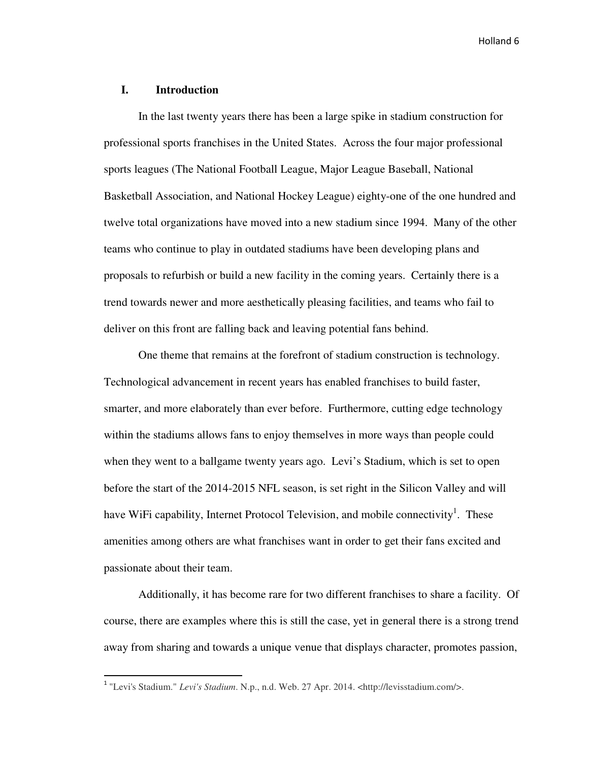# **I. Introduction**

<u>.</u>

 In the last twenty years there has been a large spike in stadium construction for professional sports franchises in the United States. Across the four major professional sports leagues (The National Football League, Major League Baseball, National Basketball Association, and National Hockey League) eighty-one of the one hundred and twelve total organizations have moved into a new stadium since 1994. Many of the other teams who continue to play in outdated stadiums have been developing plans and proposals to refurbish or build a new facility in the coming years. Certainly there is a trend towards newer and more aesthetically pleasing facilities, and teams who fail to deliver on this front are falling back and leaving potential fans behind.

One theme that remains at the forefront of stadium construction is technology. Technological advancement in recent years has enabled franchises to build faster, smarter, and more elaborately than ever before. Furthermore, cutting edge technology within the stadiums allows fans to enjoy themselves in more ways than people could when they went to a ballgame twenty years ago. Levi's Stadium, which is set to open before the start of the 2014-2015 NFL season, is set right in the Silicon Valley and will have WiFi capability, Internet Protocol Television, and mobile connectivity<sup>1</sup>. These amenities among others are what franchises want in order to get their fans excited and passionate about their team.

Additionally, it has become rare for two different franchises to share a facility. Of course, there are examples where this is still the case, yet in general there is a strong trend away from sharing and towards a unique venue that displays character, promotes passion,

<sup>&</sup>lt;sup>1</sup> "Levi's Stadium." *Levi's Stadium*. N.p., n.d. Web. 27 Apr. 2014. <http://levisstadium.com/>.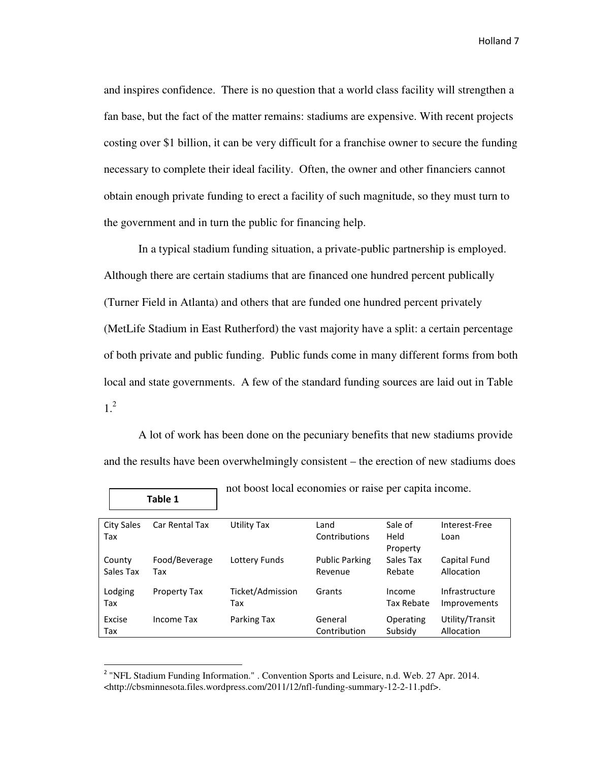and inspires confidence. There is no question that a world class facility will strengthen a fan base, but the fact of the matter remains: stadiums are expensive. With recent projects costing over \$1 billion, it can be very difficult for a franchise owner to secure the funding necessary to complete their ideal facility. Often, the owner and other financiers cannot obtain enough private funding to erect a facility of such magnitude, so they must turn to the government and in turn the public for financing help.

In a typical stadium funding situation, a private-public partnership is employed. Although there are certain stadiums that are financed one hundred percent publically (Turner Field in Atlanta) and others that are funded one hundred percent privately (MetLife Stadium in East Rutherford) the vast majority have a split: a certain percentage of both private and public funding. Public funds come in many different forms from both local and state governments. A few of the standard funding sources are laid out in Table 1.2

A lot of work has been done on the pecuniary benefits that new stadiums provide and the results have been overwhelmingly consistent – the erection of new stadiums does

| Table 1             |                      |                         |                                  |                             |                                |
|---------------------|----------------------|-------------------------|----------------------------------|-----------------------------|--------------------------------|
| City Sales<br>Tax   | Car Rental Tax       | Utility Tax             | Land<br>Contributions            | Sale of<br>Held<br>Property | Interest-Free<br>Loan          |
| County<br>Sales Tax | Food/Beverage<br>Tax | Lottery Funds           | <b>Public Parking</b><br>Revenue | Sales Tax<br>Rebate         | Capital Fund<br>Allocation     |
| Lodging<br>Tax      | Property Tax         | Ticket/Admission<br>Tax | Grants                           | Income<br>Tax Rebate        | Infrastructure<br>Improvements |
| Excise<br>Tax       | Income Tax           | Parking Tax             | General<br>Contribution          | Operating<br>Subsidy        | Utility/Transit<br>Allocation  |

not boost local economies or raise per capita income.

<sup>&</sup>lt;sup>2</sup> "NFL Stadium Funding Information." . Convention Sports and Leisure, n.d. Web. 27 Apr. 2014. <http://cbsminnesota.files.wordpress.com/2011/12/nfl-funding-summary-12-2-11.pdf>.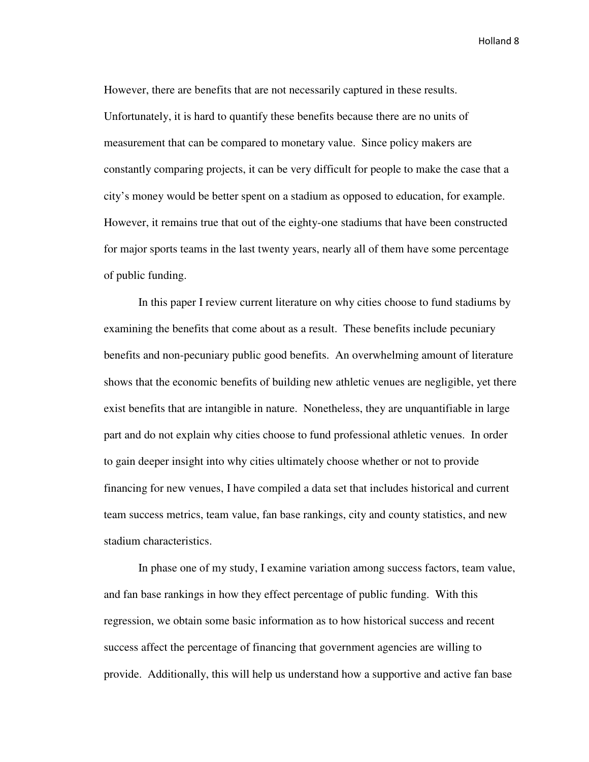However, there are benefits that are not necessarily captured in these results. Unfortunately, it is hard to quantify these benefits because there are no units of measurement that can be compared to monetary value. Since policy makers are constantly comparing projects, it can be very difficult for people to make the case that a city's money would be better spent on a stadium as opposed to education, for example. However, it remains true that out of the eighty-one stadiums that have been constructed for major sports teams in the last twenty years, nearly all of them have some percentage of public funding.

In this paper I review current literature on why cities choose to fund stadiums by examining the benefits that come about as a result. These benefits include pecuniary benefits and non-pecuniary public good benefits. An overwhelming amount of literature shows that the economic benefits of building new athletic venues are negligible, yet there exist benefits that are intangible in nature. Nonetheless, they are unquantifiable in large part and do not explain why cities choose to fund professional athletic venues. In order to gain deeper insight into why cities ultimately choose whether or not to provide financing for new venues, I have compiled a data set that includes historical and current team success metrics, team value, fan base rankings, city and county statistics, and new stadium characteristics.

In phase one of my study, I examine variation among success factors, team value, and fan base rankings in how they effect percentage of public funding. With this regression, we obtain some basic information as to how historical success and recent success affect the percentage of financing that government agencies are willing to provide. Additionally, this will help us understand how a supportive and active fan base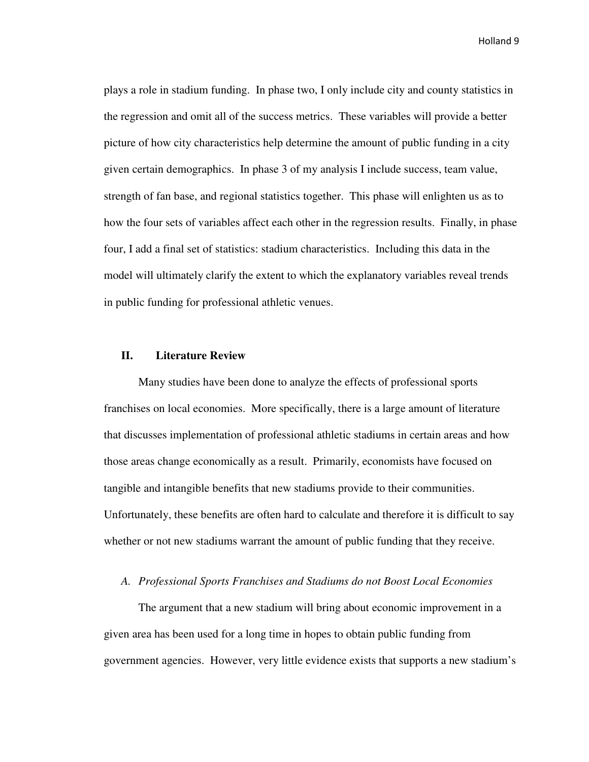plays a role in stadium funding. In phase two, I only include city and county statistics in the regression and omit all of the success metrics. These variables will provide a better picture of how city characteristics help determine the amount of public funding in a city given certain demographics. In phase 3 of my analysis I include success, team value, strength of fan base, and regional statistics together. This phase will enlighten us as to how the four sets of variables affect each other in the regression results. Finally, in phase four, I add a final set of statistics: stadium characteristics. Including this data in the model will ultimately clarify the extent to which the explanatory variables reveal trends in public funding for professional athletic venues.

#### **II. Literature Review**

Many studies have been done to analyze the effects of professional sports franchises on local economies. More specifically, there is a large amount of literature that discusses implementation of professional athletic stadiums in certain areas and how those areas change economically as a result. Primarily, economists have focused on tangible and intangible benefits that new stadiums provide to their communities. Unfortunately, these benefits are often hard to calculate and therefore it is difficult to say whether or not new stadiums warrant the amount of public funding that they receive.

#### *A. Professional Sports Franchises and Stadiums do not Boost Local Economies*

The argument that a new stadium will bring about economic improvement in a given area has been used for a long time in hopes to obtain public funding from government agencies. However, very little evidence exists that supports a new stadium's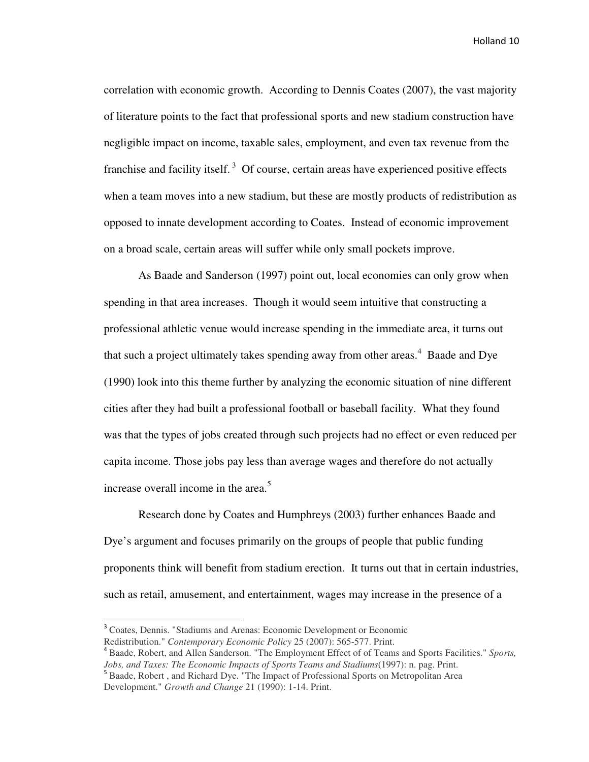correlation with economic growth. According to Dennis Coates (2007), the vast majority of literature points to the fact that professional sports and new stadium construction have negligible impact on income, taxable sales, employment, and even tax revenue from the franchise and facility itself.<sup>3</sup> Of course, certain areas have experienced positive effects when a team moves into a new stadium, but these are mostly products of redistribution as opposed to innate development according to Coates. Instead of economic improvement on a broad scale, certain areas will suffer while only small pockets improve.

As Baade and Sanderson (1997) point out, local economies can only grow when spending in that area increases. Though it would seem intuitive that constructing a professional athletic venue would increase spending in the immediate area, it turns out that such a project ultimately takes spending away from other areas.<sup>4</sup> Baade and Dye (1990) look into this theme further by analyzing the economic situation of nine different cities after they had built a professional football or baseball facility. What they found was that the types of jobs created through such projects had no effect or even reduced per capita income. Those jobs pay less than average wages and therefore do not actually increase overall income in the area. $5$ 

Research done by Coates and Humphreys (2003) further enhances Baade and Dye's argument and focuses primarily on the groups of people that public funding proponents think will benefit from stadium erection. It turns out that in certain industries, such as retail, amusement, and entertainment, wages may increase in the presence of a

 $\overline{\phantom{0}}$ 

<sup>&</sup>lt;sup>3</sup> Coates, Dennis. "Stadiums and Arenas: Economic Development or Economic Redistribution." *Contemporary Economic Policy* 25 (2007): 565-577. Print.

<sup>4</sup> Baade, Robert, and Allen Sanderson. "The Employment Effect of of Teams and Sports Facilities." *Sports, Jobs, and Taxes: The Economic Impacts of Sports Teams and Stadiums*(1997): n. pag. Print.

<sup>&</sup>lt;sup>5</sup> Baade, Robert, and Richard Dye. "The Impact of Professional Sports on Metropolitan Area Development." *Growth and Change* 21 (1990): 1-14. Print.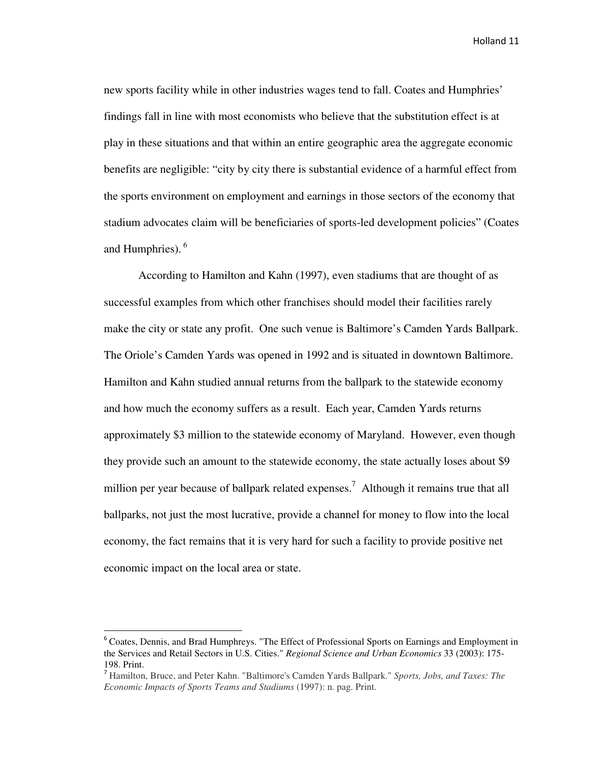new sports facility while in other industries wages tend to fall. Coates and Humphries' findings fall in line with most economists who believe that the substitution effect is at play in these situations and that within an entire geographic area the aggregate economic benefits are negligible: "city by city there is substantial evidence of a harmful effect from the sports environment on employment and earnings in those sectors of the economy that stadium advocates claim will be beneficiaries of sports-led development policies" (Coates and Humphries).  $6\overline{6}$ 

According to Hamilton and Kahn (1997), even stadiums that are thought of as successful examples from which other franchises should model their facilities rarely make the city or state any profit. One such venue is Baltimore's Camden Yards Ballpark. The Oriole's Camden Yards was opened in 1992 and is situated in downtown Baltimore. Hamilton and Kahn studied annual returns from the ballpark to the statewide economy and how much the economy suffers as a result. Each year, Camden Yards returns approximately \$3 million to the statewide economy of Maryland. However, even though they provide such an amount to the statewide economy, the state actually loses about \$9 million per year because of ballpark related expenses.<sup>7</sup> Although it remains true that all ballparks, not just the most lucrative, provide a channel for money to flow into the local economy, the fact remains that it is very hard for such a facility to provide positive net economic impact on the local area or state.

l

<sup>&</sup>lt;sup>6</sup> Coates, Dennis, and Brad Humphreys. "The Effect of Professional Sports on Earnings and Employment in the Services and Retail Sectors in U.S. Cities." *Regional Science and Urban Economics* 33 (2003): 175- 198. Print.

<sup>7</sup> Hamilton, Bruce, and Peter Kahn. "Baltimore's Camden Yards Ballpark." *Sports, Jobs, and Taxes: The Economic Impacts of Sports Teams and Stadiums* (1997): n. pag. Print.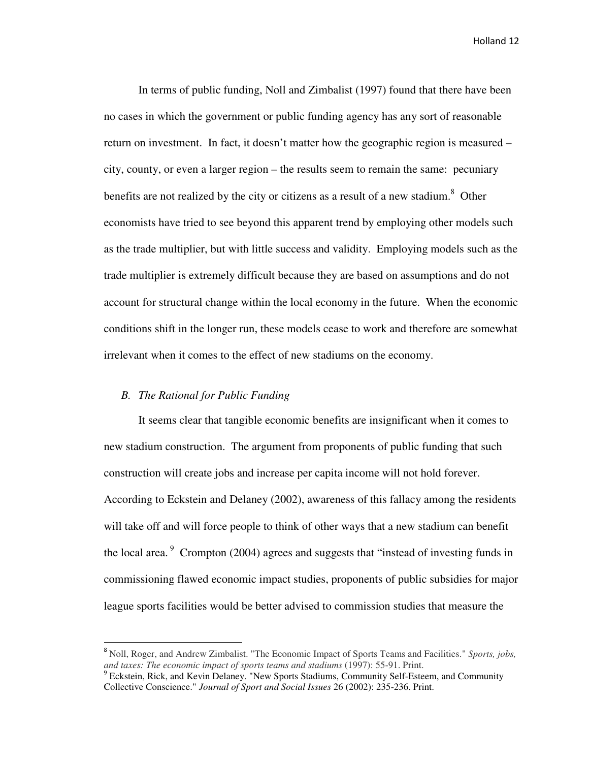In terms of public funding, Noll and Zimbalist (1997) found that there have been no cases in which the government or public funding agency has any sort of reasonable return on investment. In fact, it doesn't matter how the geographic region is measured – city, county, or even a larger region – the results seem to remain the same: pecuniary benefits are not realized by the city or citizens as a result of a new stadium.<sup>8</sup> Other economists have tried to see beyond this apparent trend by employing other models such as the trade multiplier, but with little success and validity. Employing models such as the trade multiplier is extremely difficult because they are based on assumptions and do not account for structural change within the local economy in the future. When the economic conditions shift in the longer run, these models cease to work and therefore are somewhat irrelevant when it comes to the effect of new stadiums on the economy.

#### *B. The Rational for Public Funding*

-

 It seems clear that tangible economic benefits are insignificant when it comes to new stadium construction. The argument from proponents of public funding that such construction will create jobs and increase per capita income will not hold forever. According to Eckstein and Delaney (2002), awareness of this fallacy among the residents will take off and will force people to think of other ways that a new stadium can benefit the local area.<sup>9</sup> Crompton (2004) agrees and suggests that "instead of investing funds in commissioning flawed economic impact studies, proponents of public subsidies for major league sports facilities would be better advised to commission studies that measure the

<sup>8</sup> Noll, Roger, and Andrew Zimbalist. "The Economic Impact of Sports Teams and Facilities." *Sports, jobs, and taxes: The economic impact of sports teams and stadiums* (1997): 55-91. Print.

<sup>&</sup>lt;sup>9</sup> Eckstein, Rick, and Kevin Delaney. "New Sports Stadiums, Community Self-Esteem, and Community Collective Conscience." *Journal of Sport and Social Issues* 26 (2002): 235-236. Print.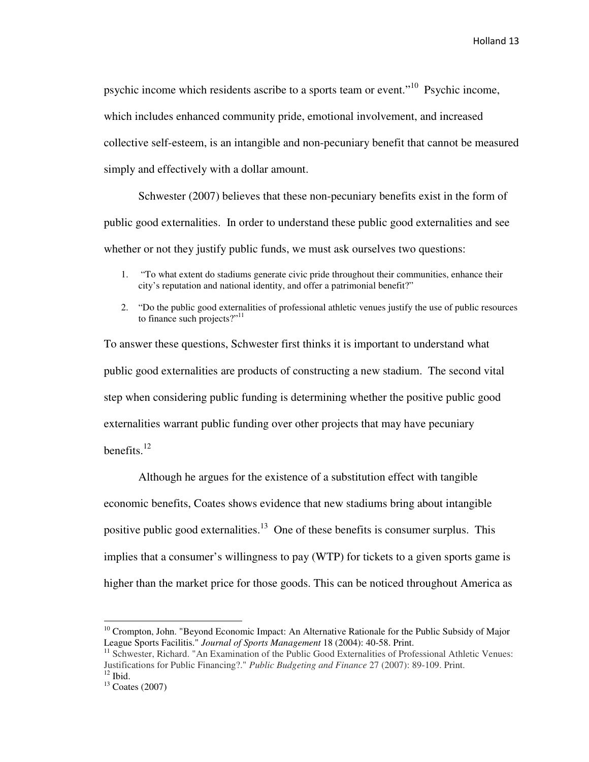psychic income which residents ascribe to a sports team or event."<sup>10</sup> Psychic income, which includes enhanced community pride, emotional involvement, and increased collective self-esteem, is an intangible and non-pecuniary benefit that cannot be measured simply and effectively with a dollar amount.

 Schwester (2007) believes that these non-pecuniary benefits exist in the form of public good externalities. In order to understand these public good externalities and see whether or not they justify public funds, we must ask ourselves two questions:

- 1. "To what extent do stadiums generate civic pride throughout their communities, enhance their city's reputation and national identity, and offer a patrimonial benefit?"
- 2. "Do the public good externalities of professional athletic venues justify the use of public resources to finance such projects?" $11$

To answer these questions, Schwester first thinks it is important to understand what public good externalities are products of constructing a new stadium. The second vital step when considering public funding is determining whether the positive public good externalities warrant public funding over other projects that may have pecuniary benefits. $12$ 

 Although he argues for the existence of a substitution effect with tangible economic benefits, Coates shows evidence that new stadiums bring about intangible positive public good externalities.<sup>13</sup> One of these benefits is consumer surplus. This implies that a consumer's willingness to pay (WTP) for tickets to a given sports game is higher than the market price for those goods. This can be noticed throughout America as

 $\overline{a}$ 

<sup>&</sup>lt;sup>10</sup> Crompton, John. "Beyond Economic Impact: An Alternative Rationale for the Public Subsidy of Major League Sports Facilitis." *Journal of Sports Management* 18 (2004): 40-58. Print.

<sup>&</sup>lt;sup>11</sup> Schwester, Richard. "An Examination of the Public Good Externalities of Professional Athletic Venues: Justifications for Public Financing?." *Public Budgeting and Finance* 27 (2007): 89-109. Print.  $12$  Ibid.

 $13$  Coates (2007)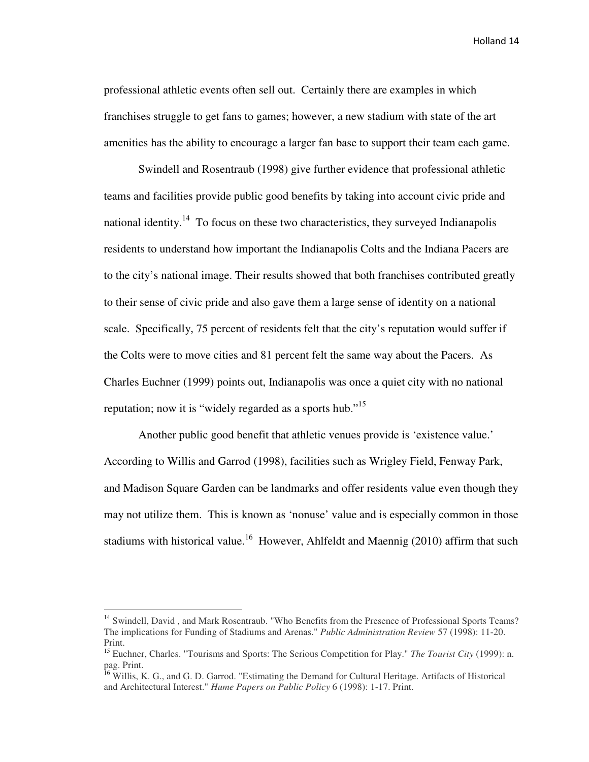professional athletic events often sell out. Certainly there are examples in which franchises struggle to get fans to games; however, a new stadium with state of the art amenities has the ability to encourage a larger fan base to support their team each game.

 Swindell and Rosentraub (1998) give further evidence that professional athletic teams and facilities provide public good benefits by taking into account civic pride and national identity.<sup>14</sup> To focus on these two characteristics, they surveyed Indianapolis residents to understand how important the Indianapolis Colts and the Indiana Pacers are to the city's national image. Their results showed that both franchises contributed greatly to their sense of civic pride and also gave them a large sense of identity on a national scale. Specifically, 75 percent of residents felt that the city's reputation would suffer if the Colts were to move cities and 81 percent felt the same way about the Pacers. As Charles Euchner (1999) points out, Indianapolis was once a quiet city with no national reputation; now it is "widely regarded as a sports hub."<sup>15</sup>

 Another public good benefit that athletic venues provide is 'existence value.' According to Willis and Garrod (1998), facilities such as Wrigley Field, Fenway Park, and Madison Square Garden can be landmarks and offer residents value even though they may not utilize them. This is known as 'nonuse' value and is especially common in those stadiums with historical value.<sup>16</sup> However, Ahlfeldt and Maennig (2010) affirm that such

 $\overline{\phantom{0}}$ 

<sup>&</sup>lt;sup>14</sup> Swindell, David, and Mark Rosentraub. "Who Benefits from the Presence of Professional Sports Teams? The implications for Funding of Stadiums and Arenas." *Public Administration Review* 57 (1998): 11-20. Print.

<sup>15</sup> Euchner, Charles. "Tourisms and Sports: The Serious Competition for Play." *The Tourist City* (1999): n. pag. Print.

<sup>&</sup>lt;sup>16</sup> Willis, K. G., and G. D. Garrod. "Estimating the Demand for Cultural Heritage. Artifacts of Historical and Architectural Interest." *Hume Papers on Public Policy* 6 (1998): 1-17. Print.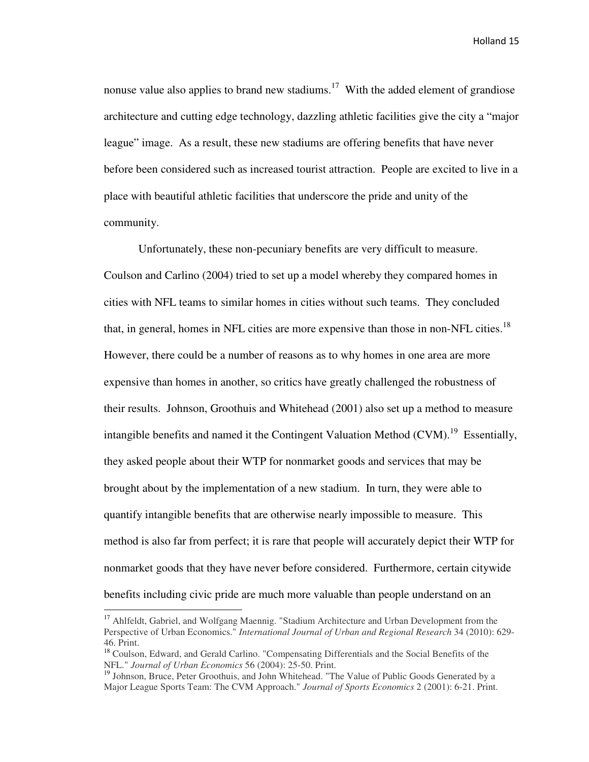nonuse value also applies to brand new stadiums.<sup>17</sup> With the added element of grandiose architecture and cutting edge technology, dazzling athletic facilities give the city a "major league" image. As a result, these new stadiums are offering benefits that have never before been considered such as increased tourist attraction. People are excited to live in a place with beautiful athletic facilities that underscore the pride and unity of the community.

 Unfortunately, these non-pecuniary benefits are very difficult to measure. Coulson and Carlino (2004) tried to set up a model whereby they compared homes in cities with NFL teams to similar homes in cities without such teams. They concluded that, in general, homes in NFL cities are more expensive than those in non-NFL cities.<sup>18</sup> However, there could be a number of reasons as to why homes in one area are more expensive than homes in another, so critics have greatly challenged the robustness of their results. Johnson, Groothuis and Whitehead (2001) also set up a method to measure intangible benefits and named it the Contingent Valuation Method  $(CVM)$ <sup>19</sup> Essentially, they asked people about their WTP for nonmarket goods and services that may be brought about by the implementation of a new stadium. In turn, they were able to quantify intangible benefits that are otherwise nearly impossible to measure. This method is also far from perfect; it is rare that people will accurately depict their WTP for nonmarket goods that they have never before considered. Furthermore, certain citywide benefits including civic pride are much more valuable than people understand on an

 $\overline{\phantom{0}}$ 

<sup>&</sup>lt;sup>17</sup> Ahlfeldt, Gabriel, and Wolfgang Maennig. "Stadium Architecture and Urban Development from the Perspective of Urban Economics." *International Journal of Urban and Regional Research* 34 (2010): 629- 46. Print.

<sup>&</sup>lt;sup>18</sup> Coulson, Edward, and Gerald Carlino. "Compensating Differentials and the Social Benefits of the NFL." *Journal of Urban Economics* 56 (2004): 25-50. Print.

<sup>&</sup>lt;sup>19</sup> Johnson, Bruce, Peter Groothuis, and John Whitehead. "The Value of Public Goods Generated by a Major League Sports Team: The CVM Approach." *Journal of Sports Economics* 2 (2001): 6-21. Print.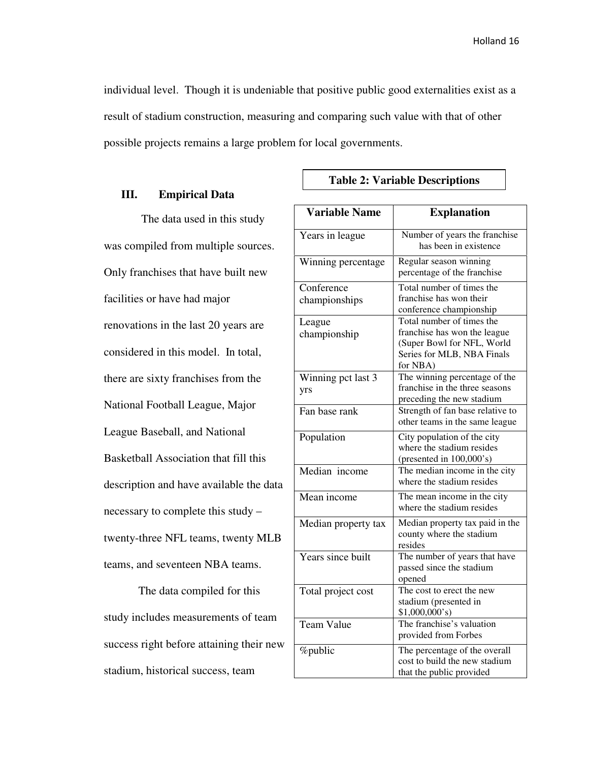individual level. Though it is undeniable that positive public good externalities exist as a result of stadium construction, measuring and comparing such value with that of other possible projects remains a large problem for local governments.

#### **III. Empirical Data**

 The data used in this study was compiled from multiple sources. Only franchises that have built new facilities or have had major renovations in the last 20 years are considered in this model. In total, there are sixty franchises from the National Football League, Major League Baseball, and National Basketball Association that fill this description and have available the data necessary to complete this study – twenty-three NFL teams, twenty MLB teams, and seventeen NBA teams.

The data compiled for this study includes measurements of team success right before attaining their new stadium, historical success, team

#### **Table 2: Variable Descriptions**

| <b>Variable Name</b>        | <b>Explanation</b>                                                                                                                |
|-----------------------------|-----------------------------------------------------------------------------------------------------------------------------------|
| Years in league             | Number of years the franchise<br>has been in existence                                                                            |
| Winning percentage          | Regular season winning<br>percentage of the franchise                                                                             |
| Conference<br>championships | Total number of times the<br>franchise has won their<br>conference championship                                                   |
| League<br>championship      | Total number of times the<br>franchise has won the league<br>(Super Bowl for NFL, World<br>Series for MLB, NBA Finals<br>for NBA) |
| Winning pct last 3<br>yrs   | The winning percentage of the<br>franchise in the three seasons<br>preceding the new stadium                                      |
| Fan base rank               | Strength of fan base relative to<br>other teams in the same league                                                                |
| Population                  | City population of the city<br>where the stadium resides<br>(presented in $100,000$ 's)                                           |
| Median income               | The median income in the city<br>where the stadium resides                                                                        |
| Mean income                 | The mean income in the city<br>where the stadium resides                                                                          |
| Median property tax         | Median property tax paid in the<br>county where the stadium<br>resides                                                            |
| Years since built           | The number of years that have<br>passed since the stadium<br>opened                                                               |
| Total project cost          | The cost to erect the new<br>stadium (presented in<br>\$1,000,000's                                                               |
| <b>Team Value</b>           | The franchise's valuation<br>provided from Forbes                                                                                 |
| %public                     | The percentage of the overall<br>cost to build the new stadium<br>that the public provided                                        |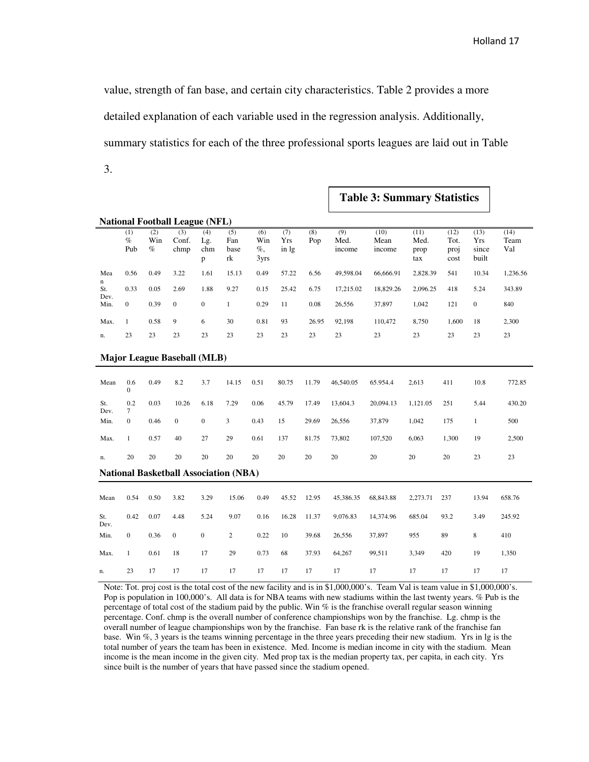**Table 3: Summary Statistics** 

value, strength of fan base, and certain city characteristics. Table 2 provides a more detailed explanation of each variable used in the regression analysis. Additionally, summary statistics for each of the three professional sports leagues are laid out in Table 3.

| <b>National Football League (NFL)</b>        |                       |                    |                      |                        |                          |                              |                     |            |                       |                        |                             |                              |                               |                     |
|----------------------------------------------|-----------------------|--------------------|----------------------|------------------------|--------------------------|------------------------------|---------------------|------------|-----------------------|------------------------|-----------------------------|------------------------------|-------------------------------|---------------------|
|                                              | (1)<br>$\%$<br>Pub    | (2)<br>Win<br>$\%$ | (3)<br>Conf.<br>chmp | (4)<br>Lg.<br>chm<br>p | (5)<br>Fan<br>base<br>rk | (6)<br>Win<br>$\%$ ,<br>3yrs | (7)<br>Yrs<br>in lg | (8)<br>Pop | (9)<br>Med.<br>income | (10)<br>Mean<br>income | (11)<br>Med.<br>prop<br>tax | (12)<br>Tot.<br>proj<br>cost | (13)<br>Yrs<br>since<br>built | (14)<br>Team<br>Val |
| Mea                                          | 0.56                  | 0.49               | 3.22                 | 1.61                   | 15.13                    | 0.49                         | 57.22               | 6.56       | 49,598.04             | 66,666.91              | 2,828.39                    | 541                          | 10.34                         | 1,236.56            |
| n<br>St.                                     | 0.33                  | 0.05               | 2.69                 | 1.88                   | 9.27                     | 0.15                         | 25.42               | 6.75       | 17,215.02             | 18,829.26              | 2,096.25                    | 418                          | 5.24                          | 343.89              |
| Dev.<br>Min.                                 | $\boldsymbol{0}$      | 0.39               | $\boldsymbol{0}$     | $\boldsymbol{0}$       | $\mathbf{1}$             | 0.29                         | 11                  | 0.08       | 26,556                | 37,897                 | 1,042                       | 121                          | $\boldsymbol{0}$              | 840                 |
| Max.                                         | $\mathbf{1}$          | 0.58               | 9                    | 6                      | 30                       | 0.81                         | 93                  | 26.95      | 92,198                | 110,472                | 8,750                       | 1.600                        | 18                            | 2,300               |
| n.                                           | 23                    | 23                 | 23                   | 23                     | 23                       | 23                           | 23                  | 23         | 23                    | 23                     | 23                          | 23                           | 23                            | 23                  |
| <b>Major League Baseball (MLB)</b>           |                       |                    |                      |                        |                          |                              |                     |            |                       |                        |                             |                              |                               |                     |
| Mean                                         | 0.6<br>$\overline{0}$ | 0.49               | 8.2                  | 3.7                    | 14.15                    | 0.51                         | 80.75               | 11.79      | 46,540.05             | 65.954.4               | 2,613                       | 411                          | 10.8                          | 772.85              |
| St.<br>Dev.                                  | 0.2<br>7              | 0.03               | 10.26                | 6.18                   | 7.29                     | 0.06                         | 45.79               | 17.49      | 13,604.3              | 20,094.13              | 1,121.05                    | 251                          | 5.44                          | 430.20              |
| Min.                                         | $\mathbf{0}$          | 0.46               | $\boldsymbol{0}$     | $\boldsymbol{0}$       | 3                        | 0.43                         | 15                  | 29.69      | 26,556                | 37,879                 | 1,042                       | 175                          | $\mathbf{1}$                  | 500                 |
| Max.                                         | $\mathbf{1}$          | 0.57               | 40                   | 27                     | 29                       | 0.61                         | 137                 | 81.75      | 73,802                | 107,520                | 6,063                       | 1,300                        | 19                            | 2,500               |
| n.                                           | 20                    | 20                 | 20                   | 20                     | $20\,$                   | 20                           | 20                  | 20         | 20                    | 20                     | 20                          | 20                           | 23                            | 23                  |
| <b>National Basketball Association (NBA)</b> |                       |                    |                      |                        |                          |                              |                     |            |                       |                        |                             |                              |                               |                     |
| Mean                                         | 0.54                  | 0.50               | 3.82                 | 3.29                   | 15.06                    | 0.49                         | 45.52               | 12.95      | 45,386.35             | 68,843.88              | 2,273.71                    | 237                          | 13.94                         | 658.76              |
| St.<br>Dev.                                  | 0.42                  | 0.07               | 4.48                 | 5.24                   | 9.07                     | 0.16                         | 16.28               | 11.37      | 9,076.83              | 14,374.96              | 685.04                      | 93.2                         | 3.49                          | 245.92              |
| Min.                                         | $\mathbf{0}$          | 0.36               | $\boldsymbol{0}$     | $\boldsymbol{0}$       | $\overline{c}$           | 0.22                         | 10                  | 39.68      | 26,556                | 37,897                 | 955                         | 89                           | 8                             | 410                 |
| Max.                                         | $\mathbf{1}$          | 0.61               | 18                   | 17                     | 29                       | 0.73                         | 68                  | 37.93      | 64,267                | 99,511                 | 3,349                       | 420                          | 19                            | 1,350               |
| n.                                           | 23                    | 17                 | 17                   | 17                     | 17                       | 17                           | 17                  | 17         | 17                    | 17                     | 17                          | 17                           | 17                            | 17                  |

Note: Tot. proj cost is the total cost of the new facility and is in \$1,000,000's. Team Val is team value in \$1,000,000's. Pop is population in 100,000's. All data is for NBA teams with new stadiums within the last twenty years. % Pub is the percentage of total cost of the stadium paid by the public. Win % is the franchise overall regular season winning percentage. Conf. chmp is the overall number of conference championships won by the franchise. Lg. chmp is the overall number of league championships won by the franchise. Fan base rk is the relative rank of the franchise fan base. Win %, 3 years is the teams winning percentage in the three years preceding their new stadium. Yrs in lg is the total number of years the team has been in existence. Med. Income is median income in city with the stadium. Mean income is the mean income in the given city. Med prop tax is the median property tax, per capita, in each city. Yrs since built is the number of years that have passed since the stadium opened.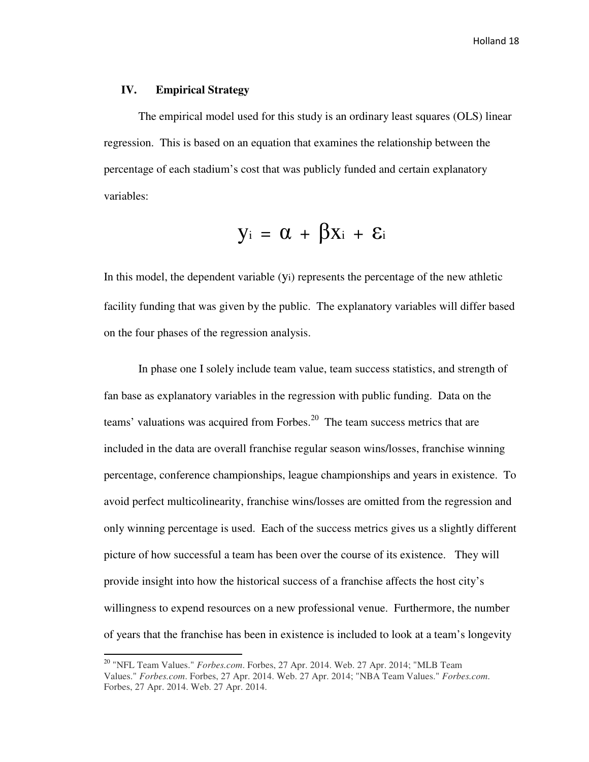# **IV. Empirical Strategy**

<u>.</u>

The empirical model used for this study is an ordinary least squares (OLS) linear regression. This is based on an equation that examines the relationship between the percentage of each stadium's cost that was publicly funded and certain explanatory variables:

$$
y_i \ = \ \alpha \ + \ \beta x_i \ + \ \epsilon_i
$$

In this model, the dependent variable (yi) represents the percentage of the new athletic facility funding that was given by the public. The explanatory variables will differ based on the four phases of the regression analysis.

In phase one I solely include team value, team success statistics, and strength of fan base as explanatory variables in the regression with public funding. Data on the teams' valuations was acquired from Forbes.<sup>20</sup> The team success metrics that are included in the data are overall franchise regular season wins/losses, franchise winning percentage, conference championships, league championships and years in existence. To avoid perfect multicolinearity, franchise wins/losses are omitted from the regression and only winning percentage is used. Each of the success metrics gives us a slightly different picture of how successful a team has been over the course of its existence. They will provide insight into how the historical success of a franchise affects the host city's willingness to expend resources on a new professional venue. Furthermore, the number of years that the franchise has been in existence is included to look at a team's longevity

<sup>20</sup> "NFL Team Values." *Forbes.com*. Forbes, 27 Apr. 2014. Web. 27 Apr. 2014; "MLB Team Values." *Forbes.com*. Forbes, 27 Apr. 2014. Web. 27 Apr. 2014; "NBA Team Values." *Forbes.com*. Forbes, 27 Apr. 2014. Web. 27 Apr. 2014.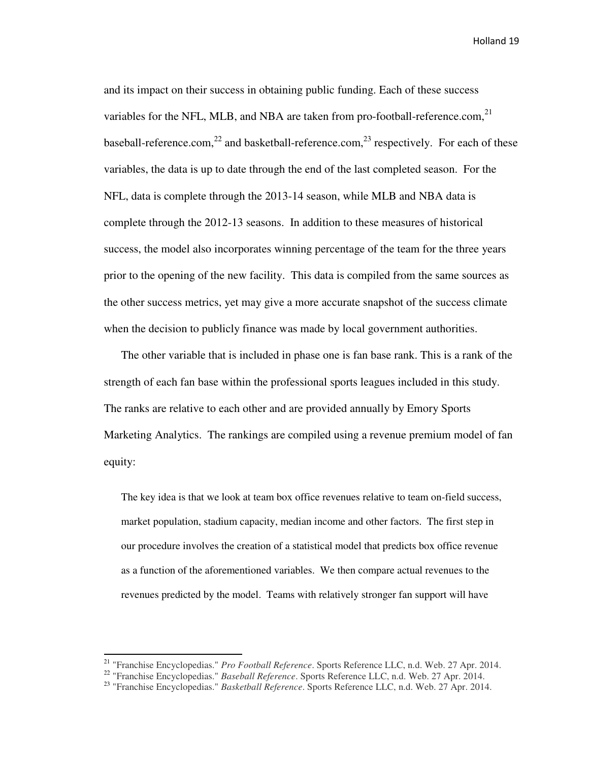and its impact on their success in obtaining public funding. Each of these success variables for the NFL, MLB, and NBA are taken from pro-football-reference.com.<sup>21</sup> baseball-reference.com,<sup>22</sup> and basketball-reference.com,<sup>23</sup> respectively. For each of these variables, the data is up to date through the end of the last completed season. For the NFL, data is complete through the 2013-14 season, while MLB and NBA data is complete through the 2012-13 seasons. In addition to these measures of historical success, the model also incorporates winning percentage of the team for the three years prior to the opening of the new facility. This data is compiled from the same sources as the other success metrics, yet may give a more accurate snapshot of the success climate when the decision to publicly finance was made by local government authorities.

The other variable that is included in phase one is fan base rank. This is a rank of the strength of each fan base within the professional sports leagues included in this study. The ranks are relative to each other and are provided annually by Emory Sports Marketing Analytics. The rankings are compiled using a revenue premium model of fan equity:

The key idea is that we look at team box office revenues relative to team on-field success, market population, stadium capacity, median income and other factors. The first step in our procedure involves the creation of a statistical model that predicts box office revenue as a function of the aforementioned variables. We then compare actual revenues to the revenues predicted by the model. Teams with relatively stronger fan support will have

<u>.</u>

<sup>21</sup> "Franchise Encyclopedias." *Pro Football Reference*. Sports Reference LLC, n.d. Web. 27 Apr. 2014.

<sup>22</sup> "Franchise Encyclopedias." *Baseball Reference*. Sports Reference LLC, n.d. Web. 27 Apr. 2014.

<sup>23</sup> "Franchise Encyclopedias." *Basketball Reference*. Sports Reference LLC, n.d. Web. 27 Apr. 2014.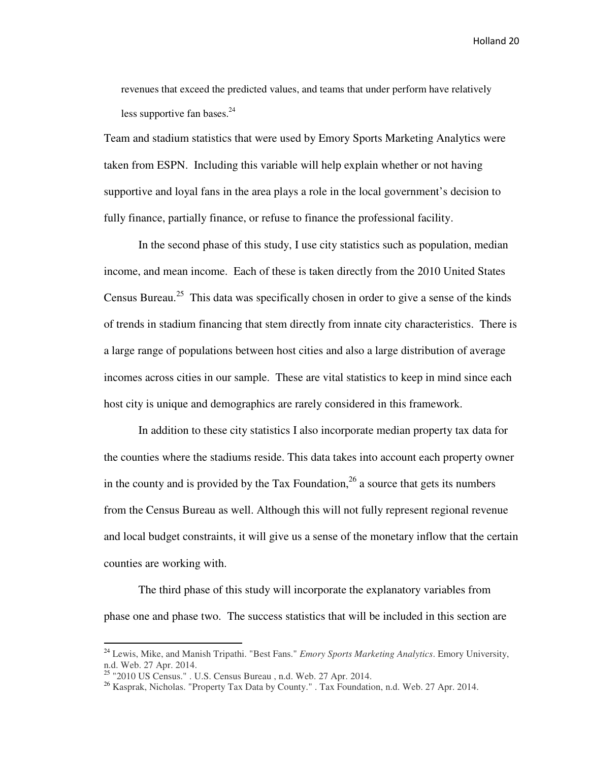revenues that exceed the predicted values, and teams that under perform have relatively less supportive fan bases. $^{24}$ 

Team and stadium statistics that were used by Emory Sports Marketing Analytics were taken from ESPN. Including this variable will help explain whether or not having supportive and loyal fans in the area plays a role in the local government's decision to fully finance, partially finance, or refuse to finance the professional facility.

 In the second phase of this study, I use city statistics such as population, median income, and mean income. Each of these is taken directly from the 2010 United States Census Bureau.<sup>25</sup> This data was specifically chosen in order to give a sense of the kinds of trends in stadium financing that stem directly from innate city characteristics. There is a large range of populations between host cities and also a large distribution of average incomes across cities in our sample. These are vital statistics to keep in mind since each host city is unique and demographics are rarely considered in this framework.

 In addition to these city statistics I also incorporate median property tax data for the counties where the stadiums reside. This data takes into account each property owner in the county and is provided by the Tax Foundation,  $^{26}$  a source that gets its numbers from the Census Bureau as well. Although this will not fully represent regional revenue and local budget constraints, it will give us a sense of the monetary inflow that the certain counties are working with.

 The third phase of this study will incorporate the explanatory variables from phase one and phase two. The success statistics that will be included in this section are

 $\overline{\phantom{0}}$ 

<sup>24</sup> Lewis, Mike, and Manish Tripathi. "Best Fans." *Emory Sports Marketing Analytics*. Emory University, n.d. Web. 27 Apr. 2014.

 $25$  "2010 US Census." . U.S. Census Bureau , n.d. Web. 27 Apr. 2014.

<sup>26</sup> Kasprak, Nicholas. "Property Tax Data by County." . Tax Foundation, n.d. Web. 27 Apr. 2014.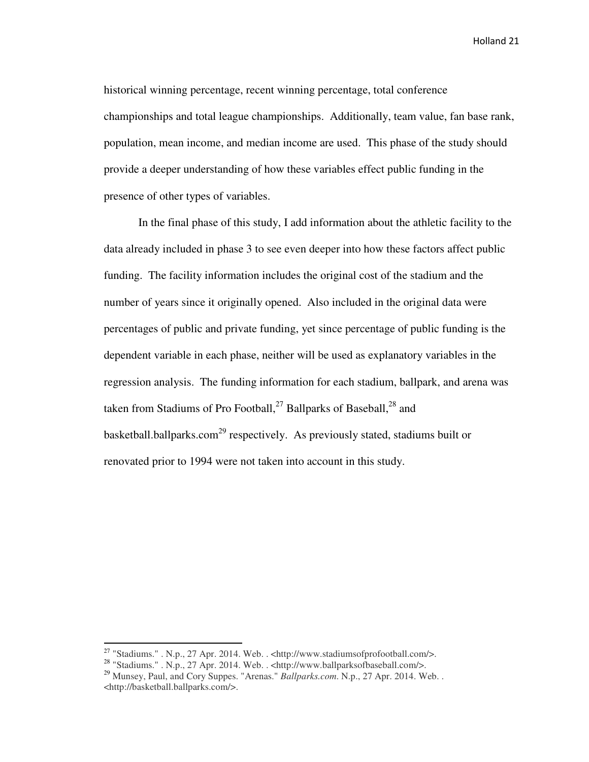historical winning percentage, recent winning percentage, total conference championships and total league championships. Additionally, team value, fan base rank, population, mean income, and median income are used. This phase of the study should provide a deeper understanding of how these variables effect public funding in the presence of other types of variables.

In the final phase of this study, I add information about the athletic facility to the data already included in phase 3 to see even deeper into how these factors affect public funding. The facility information includes the original cost of the stadium and the number of years since it originally opened. Also included in the original data were percentages of public and private funding, yet since percentage of public funding is the dependent variable in each phase, neither will be used as explanatory variables in the regression analysis. The funding information for each stadium, ballpark, and arena was taken from Stadiums of Pro Football,<sup>27</sup> Ballparks of Baseball,<sup>28</sup> and basketball.ballparks.com<sup>29</sup> respectively. As previously stated, stadiums built or renovated prior to 1994 were not taken into account in this study.

 $\overline{\phantom{0}}$ 

<sup>&</sup>lt;sup>27</sup> "Stadiums." . N.p., 27 Apr. 2014. Web. . <http://www.stadiumsofprofootball.com/>.

<sup>&</sup>lt;sup>28</sup> "Stadiums." . N.p., 27 Apr. 2014. Web. . <http://www.ballparksofbaseball.com/>.

<sup>29</sup> Munsey, Paul, and Cory Suppes. "Arenas." *Ballparks.com*. N.p., 27 Apr. 2014. Web. . <http://basketball.ballparks.com/>.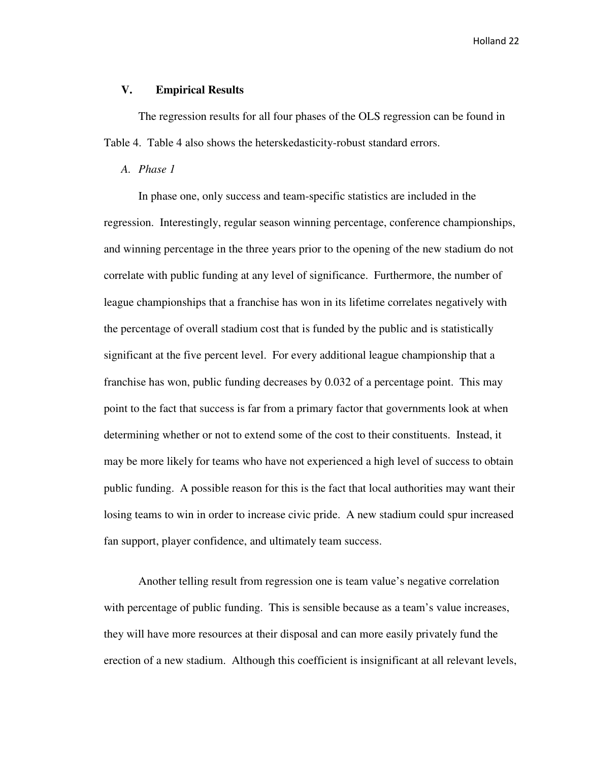# **V. Empirical Results**

The regression results for all four phases of the OLS regression can be found in Table 4. Table 4 also shows the heterskedasticity-robust standard errors.

#### *A. Phase 1*

In phase one, only success and team-specific statistics are included in the regression. Interestingly, regular season winning percentage, conference championships, and winning percentage in the three years prior to the opening of the new stadium do not correlate with public funding at any level of significance. Furthermore, the number of league championships that a franchise has won in its lifetime correlates negatively with the percentage of overall stadium cost that is funded by the public and is statistically significant at the five percent level. For every additional league championship that a franchise has won, public funding decreases by 0.032 of a percentage point. This may point to the fact that success is far from a primary factor that governments look at when determining whether or not to extend some of the cost to their constituents. Instead, it may be more likely for teams who have not experienced a high level of success to obtain public funding. A possible reason for this is the fact that local authorities may want their losing teams to win in order to increase civic pride. A new stadium could spur increased fan support, player confidence, and ultimately team success.

Another telling result from regression one is team value's negative correlation with percentage of public funding. This is sensible because as a team's value increases, they will have more resources at their disposal and can more easily privately fund the erection of a new stadium. Although this coefficient is insignificant at all relevant levels,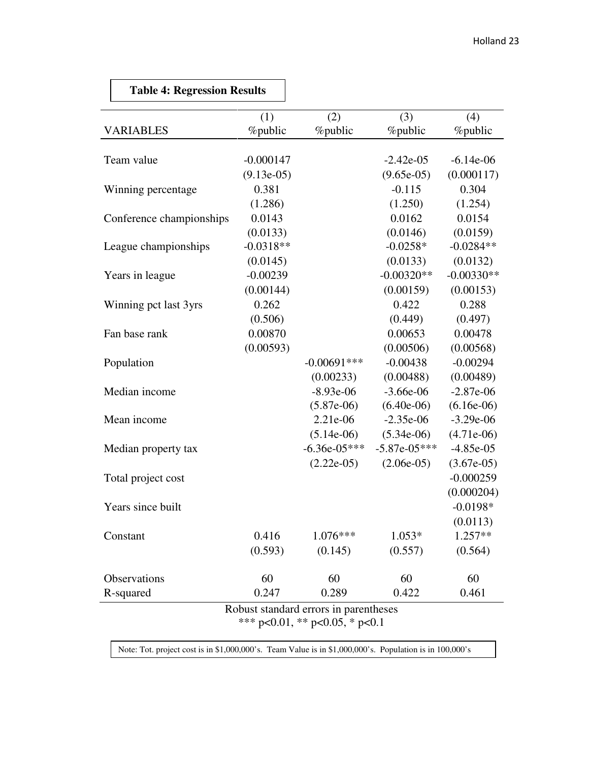|             | <b>Table 4: Regression Results</b> |              |                                        |                 |                 |
|-------------|------------------------------------|--------------|----------------------------------------|-----------------|-----------------|
|             |                                    | (1)          | (2)                                    | (3)             | (4)             |
|             | <b>VARIABLES</b>                   | %public      | <i>%</i> public                        | <i>%</i> public | <i>%</i> public |
|             |                                    |              |                                        |                 |                 |
|             | Team value                         | $-0.000147$  |                                        | $-2.42e-05$     | $-6.14e-06$     |
|             |                                    | $(9.13e-05)$ |                                        | $(9.65e-05)$    | (0.000117)      |
|             | Winning percentage                 | 0.381        |                                        | $-0.115$        | 0.304           |
|             |                                    | (1.286)      |                                        | (1.250)         | (1.254)         |
|             | Conference championships           | 0.0143       |                                        | 0.0162          | 0.0154          |
|             |                                    | (0.0133)     |                                        | (0.0146)        | (0.0159)        |
|             | League championships               | $-0.0318**$  |                                        | $-0.0258*$      | $-0.0284**$     |
|             |                                    | (0.0145)     |                                        | (0.0133)        | (0.0132)        |
|             | Years in league                    | $-0.00239$   |                                        | $-0.00320**$    | $-0.00330**$    |
|             |                                    | (0.00144)    |                                        | (0.00159)       | (0.00153)       |
|             | Winning pct last 3yrs              | 0.262        |                                        | 0.422           | 0.288           |
|             |                                    | (0.506)      |                                        | (0.449)         | (0.497)         |
|             | Fan base rank                      | 0.00870      |                                        | 0.00653         | 0.00478         |
|             |                                    | (0.00593)    |                                        | (0.00506)       | (0.00568)       |
|             | Population                         |              | $-0.00691***$                          | $-0.00438$      | $-0.00294$      |
|             |                                    |              | (0.00233)                              | (0.00488)       | (0.00489)       |
|             | Median income                      |              | $-8.93e-06$                            | $-3.66e-06$     | $-2.87e-06$     |
|             |                                    |              | $(5.87e-06)$                           | $(6.40e-06)$    | $(6.16e-06)$    |
| Mean income |                                    |              | 2.21e-06                               | $-2.35e-06$     | $-3.29e-06$     |
|             |                                    |              | $(5.14e-06)$                           | $(5.34e-06)$    | $(4.71e-06)$    |
|             | Median property tax                |              | $-6.36e-05***$                         | $-5.87e-05***$  | $-4.85e-05$     |
|             |                                    |              | $(2.22e-05)$                           | $(2.06e-05)$    | $(3.67e-05)$    |
|             | Total project cost                 |              |                                        |                 | $-0.000259$     |
|             |                                    |              |                                        |                 | (0.000204)      |
|             | Years since built                  |              |                                        |                 | $-0.0198*$      |
|             |                                    |              |                                        |                 | (0.0113)        |
|             | Constant                           | 0.416        | $1.076***$                             | $1.053*$        | 1.257**         |
|             |                                    | (0.593)      | (0.145)                                | (0.557)         | (0.564)         |
|             |                                    |              |                                        |                 |                 |
|             | Observations                       | 60           | 60                                     | 60              | 60              |
|             | R-squared                          | 0.247        | 0.289                                  | 0.422           | 0.461           |
|             |                                    |              | Robust standard errors in parentheses  |                 |                 |
|             |                                    |              | *** $p<0.01$ , ** $p<0.05$ , * $p<0.1$ |                 |                 |

r

Note: Tot. project cost is in \$1,000,000's. Team Value is in \$1,000,000's. Population is in 100,000's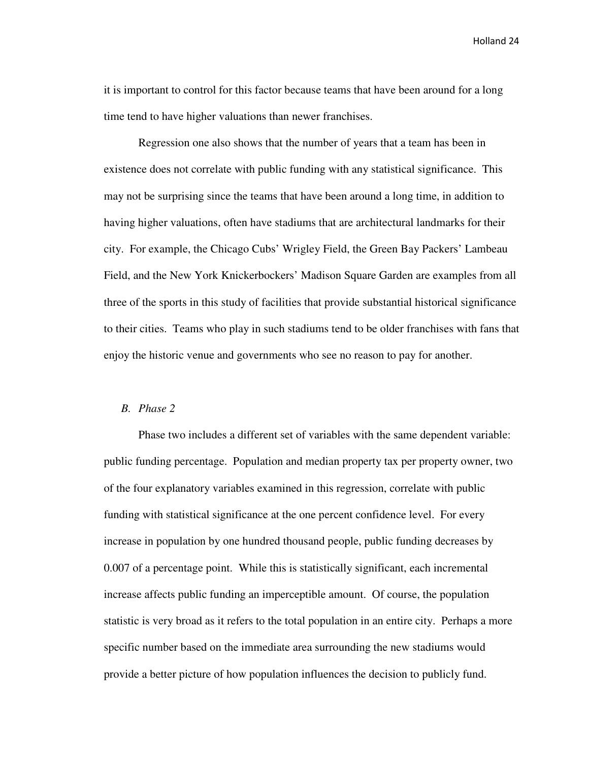it is important to control for this factor because teams that have been around for a long time tend to have higher valuations than newer franchises.

Regression one also shows that the number of years that a team has been in existence does not correlate with public funding with any statistical significance. This may not be surprising since the teams that have been around a long time, in addition to having higher valuations, often have stadiums that are architectural landmarks for their city. For example, the Chicago Cubs' Wrigley Field, the Green Bay Packers' Lambeau Field, and the New York Knickerbockers' Madison Square Garden are examples from all three of the sports in this study of facilities that provide substantial historical significance to their cities. Teams who play in such stadiums tend to be older franchises with fans that enjoy the historic venue and governments who see no reason to pay for another.

# *B. Phase 2*

Phase two includes a different set of variables with the same dependent variable: public funding percentage. Population and median property tax per property owner, two of the four explanatory variables examined in this regression, correlate with public funding with statistical significance at the one percent confidence level. For every increase in population by one hundred thousand people, public funding decreases by 0.007 of a percentage point. While this is statistically significant, each incremental increase affects public funding an imperceptible amount. Of course, the population statistic is very broad as it refers to the total population in an entire city. Perhaps a more specific number based on the immediate area surrounding the new stadiums would provide a better picture of how population influences the decision to publicly fund.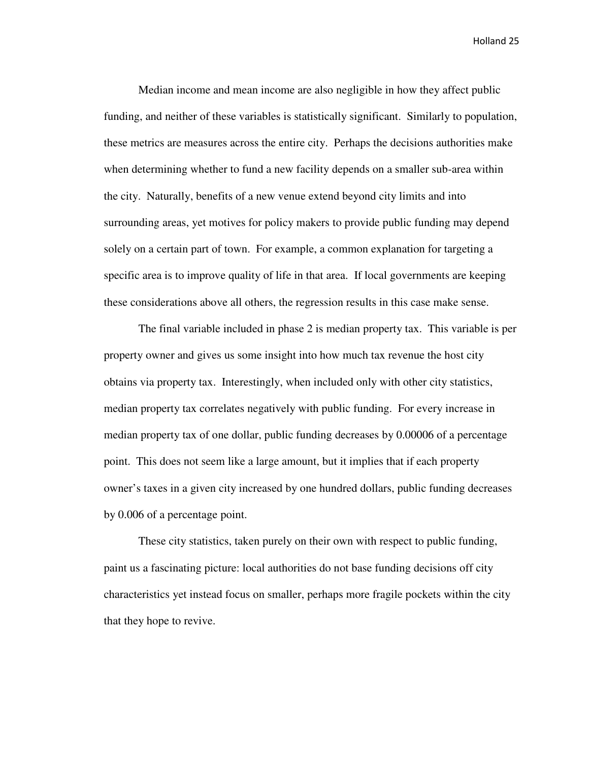Median income and mean income are also negligible in how they affect public funding, and neither of these variables is statistically significant. Similarly to population, these metrics are measures across the entire city. Perhaps the decisions authorities make when determining whether to fund a new facility depends on a smaller sub-area within the city. Naturally, benefits of a new venue extend beyond city limits and into surrounding areas, yet motives for policy makers to provide public funding may depend solely on a certain part of town. For example, a common explanation for targeting a specific area is to improve quality of life in that area. If local governments are keeping these considerations above all others, the regression results in this case make sense.

 The final variable included in phase 2 is median property tax. This variable is per property owner and gives us some insight into how much tax revenue the host city obtains via property tax. Interestingly, when included only with other city statistics, median property tax correlates negatively with public funding. For every increase in median property tax of one dollar, public funding decreases by 0.00006 of a percentage point. This does not seem like a large amount, but it implies that if each property owner's taxes in a given city increased by one hundred dollars, public funding decreases by 0.006 of a percentage point.

 These city statistics, taken purely on their own with respect to public funding, paint us a fascinating picture: local authorities do not base funding decisions off city characteristics yet instead focus on smaller, perhaps more fragile pockets within the city that they hope to revive.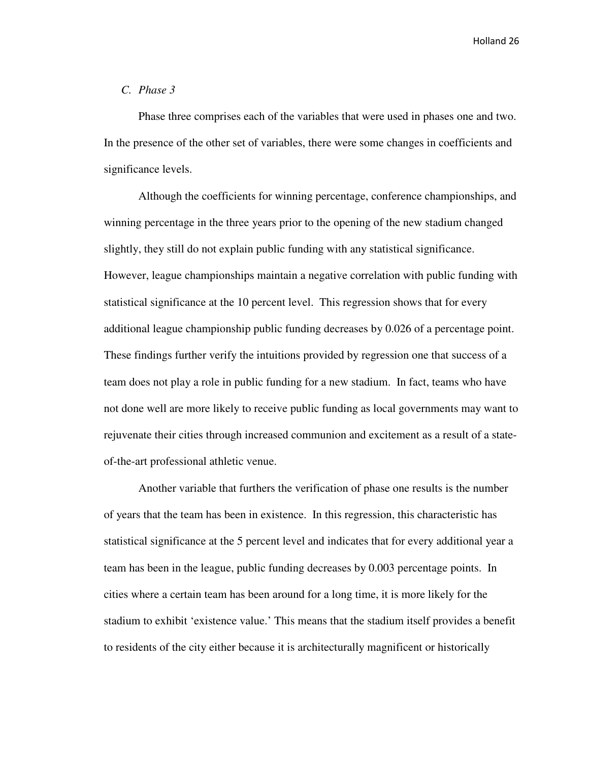# *C. Phase 3*

Phase three comprises each of the variables that were used in phases one and two. In the presence of the other set of variables, there were some changes in coefficients and significance levels.

 Although the coefficients for winning percentage, conference championships, and winning percentage in the three years prior to the opening of the new stadium changed slightly, they still do not explain public funding with any statistical significance. However, league championships maintain a negative correlation with public funding with statistical significance at the 10 percent level. This regression shows that for every additional league championship public funding decreases by 0.026 of a percentage point. These findings further verify the intuitions provided by regression one that success of a team does not play a role in public funding for a new stadium. In fact, teams who have not done well are more likely to receive public funding as local governments may want to rejuvenate their cities through increased communion and excitement as a result of a stateof-the-art professional athletic venue.

 Another variable that furthers the verification of phase one results is the number of years that the team has been in existence. In this regression, this characteristic has statistical significance at the 5 percent level and indicates that for every additional year a team has been in the league, public funding decreases by 0.003 percentage points. In cities where a certain team has been around for a long time, it is more likely for the stadium to exhibit 'existence value.' This means that the stadium itself provides a benefit to residents of the city either because it is architecturally magnificent or historically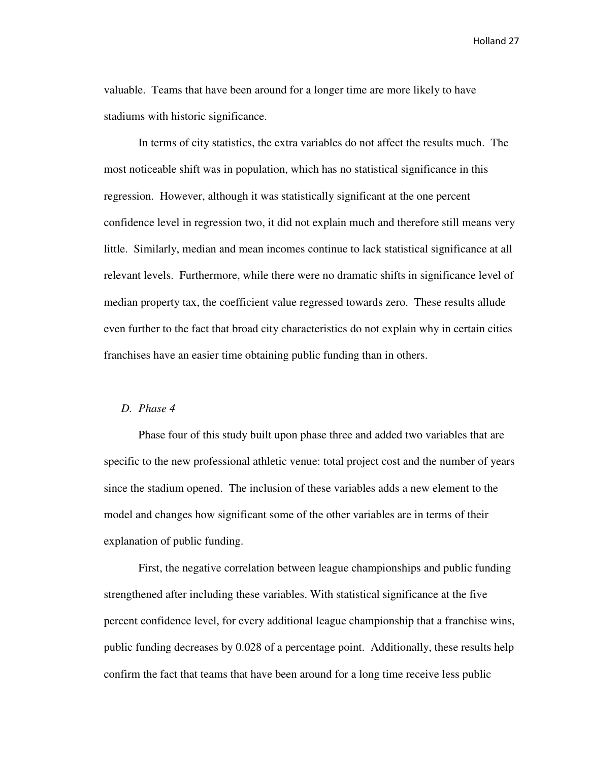valuable. Teams that have been around for a longer time are more likely to have stadiums with historic significance.

 In terms of city statistics, the extra variables do not affect the results much. The most noticeable shift was in population, which has no statistical significance in this regression. However, although it was statistically significant at the one percent confidence level in regression two, it did not explain much and therefore still means very little. Similarly, median and mean incomes continue to lack statistical significance at all relevant levels. Furthermore, while there were no dramatic shifts in significance level of median property tax, the coefficient value regressed towards zero. These results allude even further to the fact that broad city characteristics do not explain why in certain cities franchises have an easier time obtaining public funding than in others.

#### *D. Phase 4*

Phase four of this study built upon phase three and added two variables that are specific to the new professional athletic venue: total project cost and the number of years since the stadium opened. The inclusion of these variables adds a new element to the model and changes how significant some of the other variables are in terms of their explanation of public funding.

 First, the negative correlation between league championships and public funding strengthened after including these variables. With statistical significance at the five percent confidence level, for every additional league championship that a franchise wins, public funding decreases by 0.028 of a percentage point. Additionally, these results help confirm the fact that teams that have been around for a long time receive less public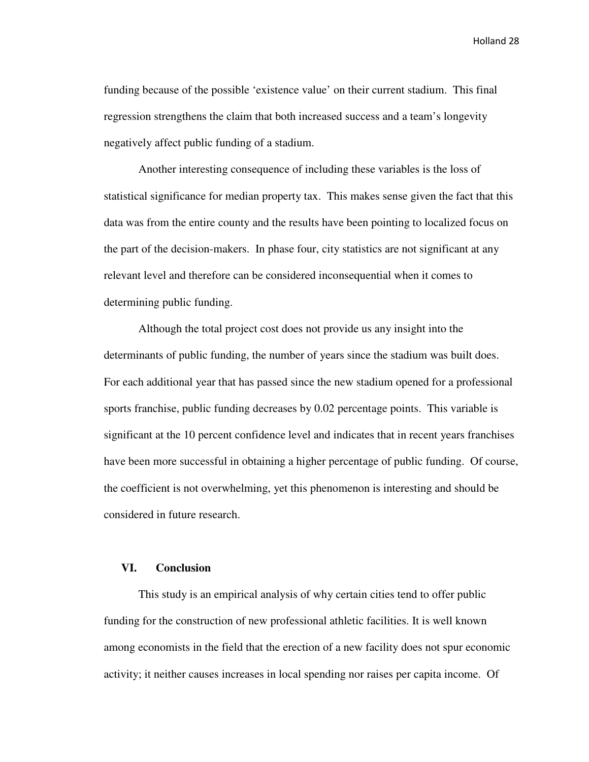funding because of the possible 'existence value' on their current stadium. This final regression strengthens the claim that both increased success and a team's longevity negatively affect public funding of a stadium.

 Another interesting consequence of including these variables is the loss of statistical significance for median property tax. This makes sense given the fact that this data was from the entire county and the results have been pointing to localized focus on the part of the decision-makers. In phase four, city statistics are not significant at any relevant level and therefore can be considered inconsequential when it comes to determining public funding.

 Although the total project cost does not provide us any insight into the determinants of public funding, the number of years since the stadium was built does. For each additional year that has passed since the new stadium opened for a professional sports franchise, public funding decreases by 0.02 percentage points. This variable is significant at the 10 percent confidence level and indicates that in recent years franchises have been more successful in obtaining a higher percentage of public funding. Of course, the coefficient is not overwhelming, yet this phenomenon is interesting and should be considered in future research.

# **VI. Conclusion**

 This study is an empirical analysis of why certain cities tend to offer public funding for the construction of new professional athletic facilities. It is well known among economists in the field that the erection of a new facility does not spur economic activity; it neither causes increases in local spending nor raises per capita income. Of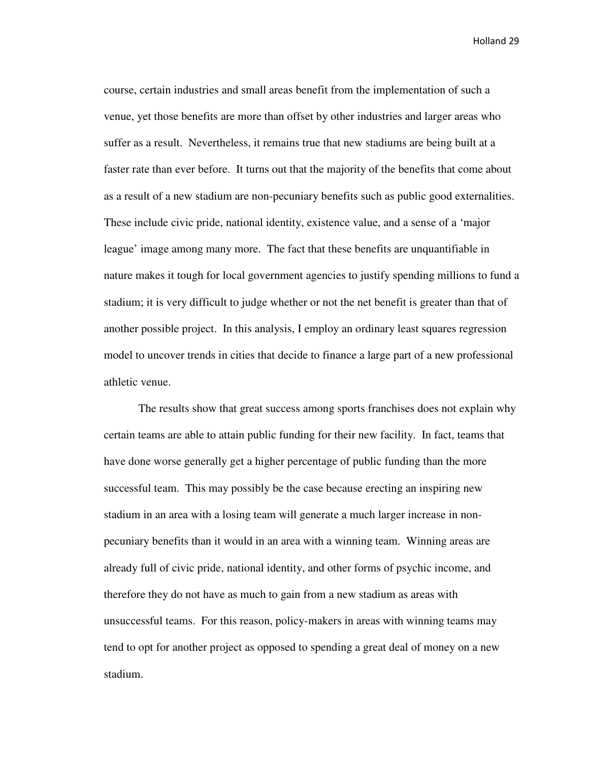course, certain industries and small areas benefit from the implementation of such a venue, yet those benefits are more than offset by other industries and larger areas who suffer as a result. Nevertheless, it remains true that new stadiums are being built at a faster rate than ever before. It turns out that the majority of the benefits that come about as a result of a new stadium are non-pecuniary benefits such as public good externalities. These include civic pride, national identity, existence value, and a sense of a 'major league' image among many more. The fact that these benefits are unquantifiable in nature makes it tough for local government agencies to justify spending millions to fund a stadium; it is very difficult to judge whether or not the net benefit is greater than that of another possible project. In this analysis, I employ an ordinary least squares regression model to uncover trends in cities that decide to finance a large part of a new professional athletic venue.

 The results show that great success among sports franchises does not explain why certain teams are able to attain public funding for their new facility. In fact, teams that have done worse generally get a higher percentage of public funding than the more successful team. This may possibly be the case because erecting an inspiring new stadium in an area with a losing team will generate a much larger increase in nonpecuniary benefits than it would in an area with a winning team. Winning areas are already full of civic pride, national identity, and other forms of psychic income, and therefore they do not have as much to gain from a new stadium as areas with unsuccessful teams. For this reason, policy-makers in areas with winning teams may tend to opt for another project as opposed to spending a great deal of money on a new stadium.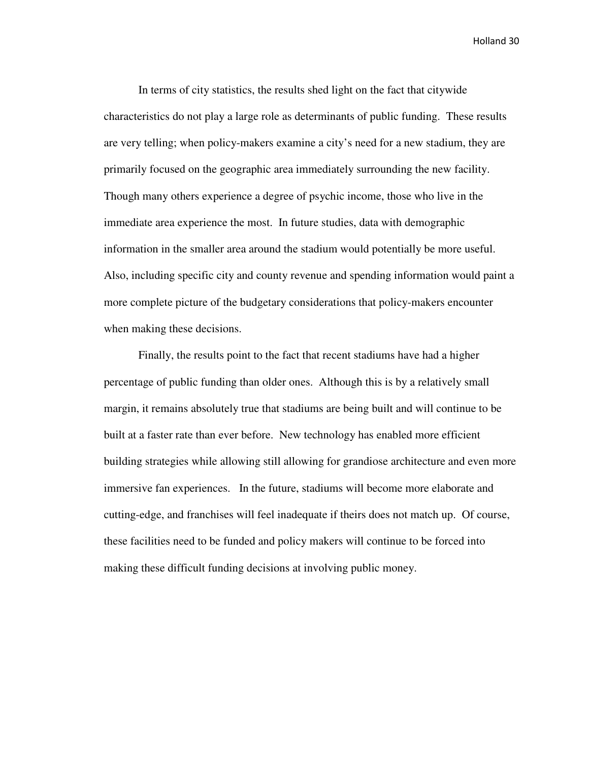In terms of city statistics, the results shed light on the fact that citywide characteristics do not play a large role as determinants of public funding. These results are very telling; when policy-makers examine a city's need for a new stadium, they are primarily focused on the geographic area immediately surrounding the new facility. Though many others experience a degree of psychic income, those who live in the immediate area experience the most. In future studies, data with demographic information in the smaller area around the stadium would potentially be more useful. Also, including specific city and county revenue and spending information would paint a more complete picture of the budgetary considerations that policy-makers encounter when making these decisions.

 Finally, the results point to the fact that recent stadiums have had a higher percentage of public funding than older ones. Although this is by a relatively small margin, it remains absolutely true that stadiums are being built and will continue to be built at a faster rate than ever before. New technology has enabled more efficient building strategies while allowing still allowing for grandiose architecture and even more immersive fan experiences. In the future, stadiums will become more elaborate and cutting-edge, and franchises will feel inadequate if theirs does not match up. Of course, these facilities need to be funded and policy makers will continue to be forced into making these difficult funding decisions at involving public money.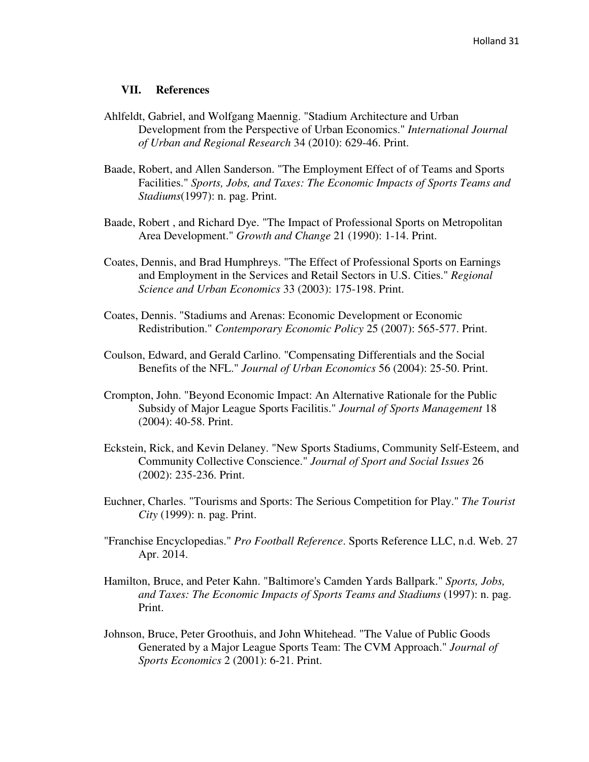#### **VII. References**

- Ahlfeldt, Gabriel, and Wolfgang Maennig. "Stadium Architecture and Urban Development from the Perspective of Urban Economics." *International Journal of Urban and Regional Research* 34 (2010): 629-46. Print.
- Baade, Robert, and Allen Sanderson. "The Employment Effect of of Teams and Sports Facilities." *Sports, Jobs, and Taxes: The Economic Impacts of Sports Teams and Stadiums*(1997): n. pag. Print.
- Baade, Robert , and Richard Dye. "The Impact of Professional Sports on Metropolitan Area Development." *Growth and Change* 21 (1990): 1-14. Print.
- Coates, Dennis, and Brad Humphreys. "The Effect of Professional Sports on Earnings and Employment in the Services and Retail Sectors in U.S. Cities." *Regional Science and Urban Economics* 33 (2003): 175-198. Print.
- Coates, Dennis. "Stadiums and Arenas: Economic Development or Economic Redistribution." *Contemporary Economic Policy* 25 (2007): 565-577. Print.
- Coulson, Edward, and Gerald Carlino. "Compensating Differentials and the Social Benefits of the NFL." *Journal of Urban Economics* 56 (2004): 25-50. Print.
- Crompton, John. "Beyond Economic Impact: An Alternative Rationale for the Public Subsidy of Major League Sports Facilitis." *Journal of Sports Management* 18 (2004): 40-58. Print.
- Eckstein, Rick, and Kevin Delaney. "New Sports Stadiums, Community Self-Esteem, and Community Collective Conscience." *Journal of Sport and Social Issues* 26 (2002): 235-236. Print.
- Euchner, Charles. "Tourisms and Sports: The Serious Competition for Play." *The Tourist City* (1999): n. pag. Print.
- "Franchise Encyclopedias." *Pro Football Reference*. Sports Reference LLC, n.d. Web. 27 Apr. 2014.
- Hamilton, Bruce, and Peter Kahn. "Baltimore's Camden Yards Ballpark." *Sports, Jobs, and Taxes: The Economic Impacts of Sports Teams and Stadiums* (1997): n. pag. Print.
- Johnson, Bruce, Peter Groothuis, and John Whitehead. "The Value of Public Goods Generated by a Major League Sports Team: The CVM Approach." *Journal of Sports Economics* 2 (2001): 6-21. Print.